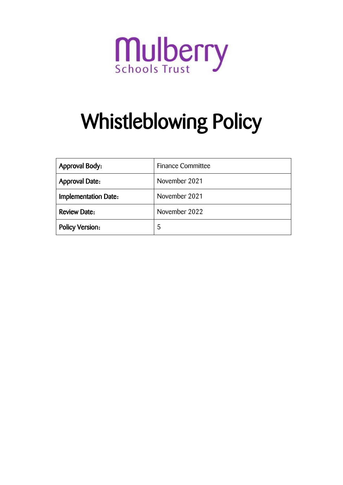

# Whistleblowing Policy

| <b>Approval Body:</b>                  | <b>Finance Committee</b> |
|----------------------------------------|--------------------------|
| November 2021<br><b>Approval Date:</b> |                          |
| <b>Implementation Date:</b>            | November 2021            |
| <b>Review Date:</b>                    | November 2022            |
| <b>Policy Version:</b>                 | 5                        |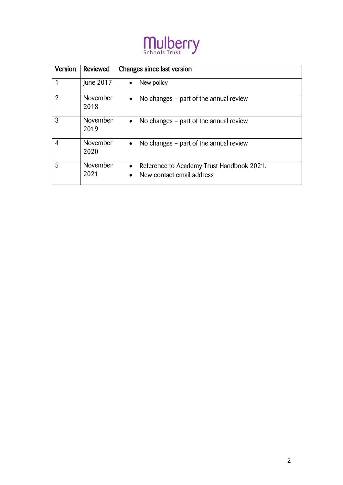

| Version        | Reviewed                | Changes since last version                                                          |
|----------------|-------------------------|-------------------------------------------------------------------------------------|
| 1              | June 2017               | New policy<br>$\bullet$                                                             |
| $\mathfrak{D}$ | <b>November</b><br>2018 | No changes – part of the annual review<br>$\bullet$                                 |
| 3              | <b>November</b><br>2019 | No changes - part of the annual review<br>$\bullet$                                 |
| 4              | November<br>2020        | No changes – part of the annual review<br>$\bullet$                                 |
| 5              | November<br>2021        | Reference to Academy Trust Handbook 2021.<br>$\bullet$<br>New contact email address |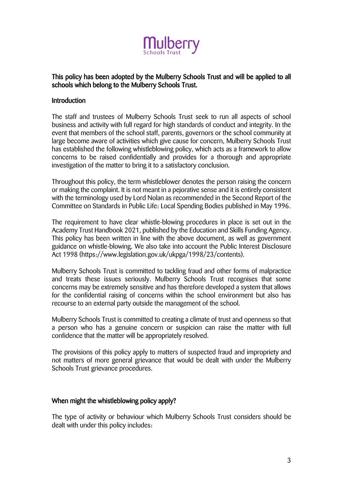

## This policy has been adopted by the Mulberry Schools Trust and will be applied to all schools which belong to the Mulberry Schools Trust.

#### **Introduction**

The staff and trustees of Mulberry Schools Trust seek to run all aspects of school business and activity with full regard for high standards of conduct and integrity. In the event that members of the school staff, parents, governors or the school community at large become aware of activities which give cause for concern, Mulberry Schools Trust has established the following whistleblowing policy, which acts as a framework to allow concerns to be raised confidentially and provides for a thorough and appropriate investigation of the matter to bring it to a satisfactory conclusion.

Throughout this policy, the term whistleblower denotes the person raising the concern or making the complaint. It is not meant in a pejorative sense and it is entirely consistent with the terminology used by Lord Nolan as recommended in the Second Report of the Committee on Standards in Public Life: Local Spending Bodies published in May 1996.

The requirement to have clear whistle-blowing procedures in place is set out in the Academy Trust Handbook 2021, published by the Education and Skills Funding Agency. This policy has been written in line with the above document, as well as government guidance on whistle-blowing. We also take into account the Public Interest Disclosure Act 1998 (https://www.legislation.gov.uk/ukpga/1998/23/contents).

Mulberry Schools Trust is committed to tackling fraud and other forms of malpractice and treats these issues seriously. Mulberry Schools Trust recognises that some concerns may be extremely sensitive and has therefore developed a system that allows for the confidential raising of concerns within the school environment but also has recourse to an external party outside the management of the school.

Mulberry Schools Trust is committed to creating a climate of trust and openness so that a person who has a genuine concern or suspicion can raise the matter with full confidence that the matter will be appropriately resolved.

The provisions of this policy apply to matters of suspected fraud and impropriety and not matters of more general grievance that would be dealt with under the Mulberry Schools Trust grievance procedures.

#### When might the whistleblowing policy apply?

The type of activity or behaviour which Mulberry Schools Trust considers should be dealt with under this policy includes: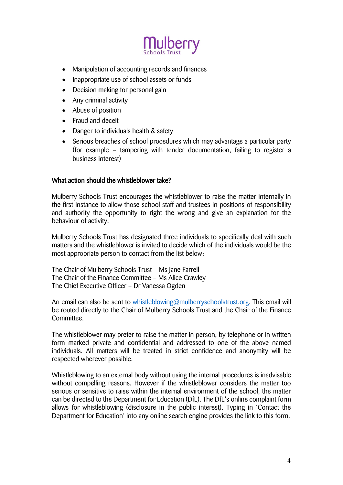

- Manipulation of accounting records and finances
- Inappropriate use of school assets or funds
- Decision making for personal gain
- Any criminal activity
- Abuse of position
- Fraud and deceit
- Danger to individuals health & safety
- Serious breaches of school procedures which may advantage a particular party (for example – tampering with tender documentation, failing to register a business interest)

#### What action should the whistleblower take?

Mulberry Schools Trust encourages the whistleblower to raise the matter internally in the first instance to allow those school staff and trustees in positions of responsibility and authority the opportunity to right the wrong and give an explanation for the behaviour of activity.

Mulberry Schools Trust has designated three individuals to specifically deal with such matters and the whistleblower is invited to decide which of the individuals would be the most appropriate person to contact from the list below:

The Chair of Mulberry Schools Trust – Ms Jane Farrell The Chair of the Finance Committee – Ms Alice Crawley The Chief Executive Officer – Dr Vanessa Ogden

An email can also be sent to [whistleblowing@mulberryschoolstrust.org.](mailto:whistleblowing@mulberryschoolstrust.org) This email will be routed directly to the Chair of Mulberry Schools Trust and the Chair of the Finance Committee.

The whistleblower may prefer to raise the matter in person, by telephone or in written form marked private and confidential and addressed to one of the above named individuals. All matters will be treated in strict confidence and anonymity will be respected wherever possible.

Whistleblowing to an external body without using the internal procedures is inadvisable without compelling reasons. However if the whistleblower considers the matter too serious or sensitive to raise within the internal environment of the school, the matter can be directed to the Department for Education (DfE). The DfE's online complaint form allows for whistleblowing (disclosure in the public interest). Typing in 'Contact the Department for Education' into any online search engine provides the link to this form.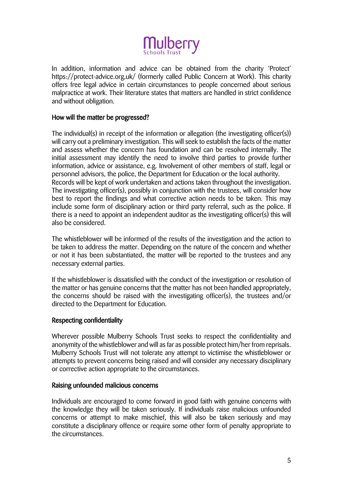

In addition, information and advice can be obtained from the charity 'Protect' https://protect-advice.org.uk/ (formerly called Public Concern at Work). This charity offers free legal advice in certain circumstances to people concerned about serious malpractice at work. Their literature states that matters are handled in strict confidence and without obligation.

### How will the matter be progressed?

The individual(s) in receipt of the information or allegation (the investigating officer(s)) will carry out a preliminary investigation. This will seek to establish the facts of the matter and assess whether the concern has foundation and can be resolved internally. The initial assessment may identify the need to involve third parties to provide further information, advice or assistance, e.g. Involvement of other members of staff, legal or personnel advisors, the police, the Department for Education or the local authority. Records will be kept of work undertaken and actions taken throughout the investigation. The investigating officer(s), possibly in conjunction with the trustees, will consider how best to report the findings and what corrective action needs to be taken. This may include some form of disciplinary action or third party referral, such as the police. If there is a need to appoint an independent auditor as the investigating officer(s) this will also be considered.

The whistleblower will be informed of the results of the investigation and the action to be taken to address the matter. Depending on the nature of the concern and whether or not it has been substantiated, the matter will be reported to the trustees and any necessary external parties.

If the whistleblower is dissatisfied with the conduct of the investigation or resolution of the matter or has genuine concerns that the matter has not been handled appropriately, the concerns should be raised with the investigating officer(s), the trustees and/or directed to the Department for Education.

#### Respecting confidentiality

Wherever possible Mulberry Schools Trust seeks to respect the confidentiality and anonymity of the whistleblower and will as far as possible protect him/her from reprisals. Mulberry Schools Trust will not tolerate any attempt to victimise the whistleblower or attempts to prevent concerns being raised and will consider any necessary disciplinary or corrective action appropriate to the circumstances.

#### Raising unfounded malicious concerns

Individuals are encouraged to come forward in good faith with genuine concerns with the knowledge they will be taken seriously. If individuals raise malicious unfounded concerns or attempt to make mischief, this will also be taken seriously and may constitute a disciplinary offence or require some other form of penalty appropriate to the circumstances.